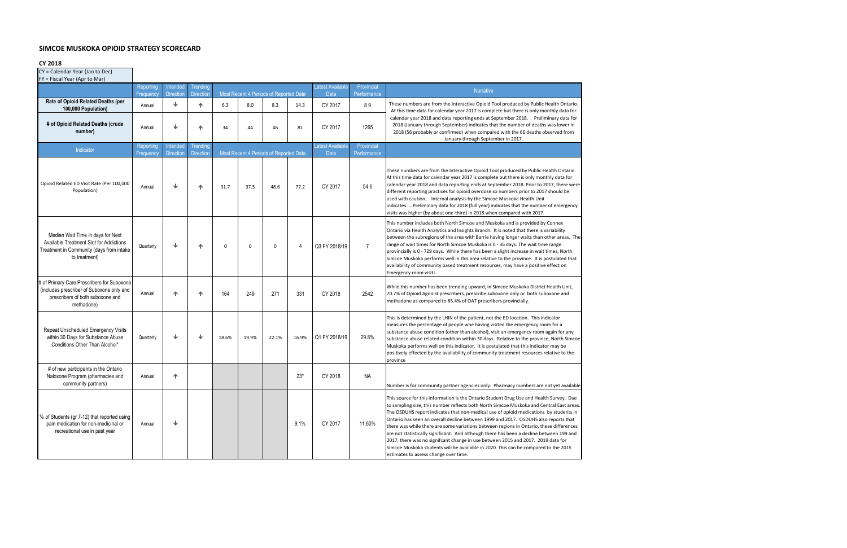## **SIMCOE MUSKOKA OPIOID STRATEGY SCORECARD**

**CY 2018**

| CY = Calendar Year (Jan to Dec)<br>FY = Fiscal Year (Apr to Mar)                                                                          |                               |                              |                              |          |       |                                        |       |                                 |                           |                                                                                                                                                                                                                                                                                                                                                                                                                                                                                                                                                                                                                                                                                                                                                                                |
|-------------------------------------------------------------------------------------------------------------------------------------------|-------------------------------|------------------------------|------------------------------|----------|-------|----------------------------------------|-------|---------------------------------|---------------------------|--------------------------------------------------------------------------------------------------------------------------------------------------------------------------------------------------------------------------------------------------------------------------------------------------------------------------------------------------------------------------------------------------------------------------------------------------------------------------------------------------------------------------------------------------------------------------------------------------------------------------------------------------------------------------------------------------------------------------------------------------------------------------------|
|                                                                                                                                           | Reporting<br><b>Frequency</b> | Intended<br><b>Direction</b> | Trending<br><b>Direction</b> |          |       | Most Recent 4 Periods of Reported Data |       | Latest Available<br>Data        | Provincial<br>Performance | <b>Narrative</b>                                                                                                                                                                                                                                                                                                                                                                                                                                                                                                                                                                                                                                                                                                                                                               |
| Rate of Opioid Related Deaths (per<br>100,000 Population)                                                                                 | Annual                        | ⊌                            | 个                            | 6.3      | 8.0   | 8.3                                    | 14.3  | CY 2017                         | 8.9                       | These numbers are from the Interactive Opioid Tool produced by Public Health Ontario.<br>At this time data for calendar year 2017 is complete but there is only monthly data for                                                                                                                                                                                                                                                                                                                                                                                                                                                                                                                                                                                               |
| # of Opioid Related Deaths (crude<br>number)                                                                                              | Annual                        | ◡                            | 个                            | 34       | 44    | 46                                     | 81    | CY 2017                         | 1265                      | calendar year 2018 and data reporting ends at September 2018. . Preliminary data for<br>2018 (January through September) indicates that the number of deaths was lower in<br>2018 (56 probably or confirmed) when compared with the 66 deaths observed from<br>January through September in 2017.                                                                                                                                                                                                                                                                                                                                                                                                                                                                              |
| Indicator                                                                                                                                 | Reporting<br>Frequency        | Intended<br><b>Direction</b> | Trending<br><b>Direction</b> |          |       | Most Recent 4 Periods of Reported Data |       | <b>Latest Available</b><br>Data | Provincial<br>Performance |                                                                                                                                                                                                                                                                                                                                                                                                                                                                                                                                                                                                                                                                                                                                                                                |
| Opioid Related ED Visit Rate (Per 100,000<br>Population)                                                                                  | Annual                        | ◡                            | 个                            | 31.7     | 37.5  | 48.6                                   | 77.2  | CY 2017                         | 54.6                      | These numbers are from the Interactive Opioid Tool produced by Public Health Ontario.<br>At this time data for calendar year 2017 is complete but there is only monthly data for<br>calendar year 2018 and data reporting ends at September 2018. Prior to 2017, there were<br>different reporting practices for opioid overdose so numbers prior to 2017 should be<br>used with caution.  Internal analysis by the Simcoe Muskoka Health Unit<br>indicatesPreliminary data for 2018 (full year) indicates that the number of emergency<br>visits was higher (by about one-third) in 2018 when compared with 2017.                                                                                                                                                             |
| Median Wait Time in days for Next<br>Available Treatment Slot for Addictions<br>Treatment in Community (days from intake<br>to treatment) | Quarterly                     | ↓                            | 个                            | $\Omega$ | 0     | $\mathbf 0$                            | 4     | Q3 FY 2018/19                   | $\overline{7}$            | This number includes both North Simcoe and Muskoka and is provided by Connex<br>Ontario via Health Analytics and Insights Branch. It is noted that there is variability<br>between the subregions of the area with Barrie having longer waits than other areas. The<br>range of wait times for North Simcoe Muskoka is 0 - 36 days. The wait time range<br>provincially is 0 - 729 days. While there has been a slight increase in wait times, North<br>Simcoe Muskoka performs well in this area relative to the province. It is postulated that<br>availability of community based treatment resources, may have a positive effect on<br>Emergency room visits.                                                                                                              |
| # of Primary Care Prescribers for Suboxone<br>(includes prescriber of Suboxone only and<br>prescribers of both suboxone and<br>methadone) | Annual                        | ᠰ                            | 个                            | 164      | 249   | 271                                    | 331   | CY 2018                         | 2542                      | While this number has been trending upward, in Simcoe Muskoka District Health Unit,<br>70.7% of Opioid Agonist prescribers, prescribe suboxone only or both suboxone and<br>methadone as compared to 85.4% of OAT prescribers provincially.                                                                                                                                                                                                                                                                                                                                                                                                                                                                                                                                    |
| Repeat Unscheduled Emergency Visits<br>within 30 Days for Substance Abuse<br>Conditions Other Than Alcohol*                               | Quarterly                     | ↓                            | ₩                            | 18.6%    | 19.9% | 22.1%                                  | 16.9% | Q1 FY 2018/19                   | 29.8%                     | This is determined by the LHIN of the patient, not the ED location. This indicator<br>measures the percentage of people whe having visited the emergency room for a<br>substance abuse condition (other than alcohol), visit an emergency room again for any<br>substance abuse related condition within 30 days. Relative to the province, North Simcoe<br>Muskoka performs well on this indicator. It is postulated that this indicator may be<br>positively effected by the availability of community treatment resources relative to the<br>province                                                                                                                                                                                                                       |
| # of new participants in the Ontario<br>Naloxone Program (pharmacies and<br>community partners)                                           | Annual                        | ᠰ                            |                              |          |       |                                        | $23*$ | CY 2018                         | <b>NA</b>                 | Number is for community partner agencies only. Pharmacy numbers are not yet available                                                                                                                                                                                                                                                                                                                                                                                                                                                                                                                                                                                                                                                                                          |
| % of Students (gr 7-12) that reported using<br>pain medication for non-medicinal or<br>recreational use in past year                      | Annual                        | ↓                            |                              |          |       |                                        | 9.1%  | CY 2017                         | 11.60%                    | This source for this information is the Ontario Student Drug Use and Health Survey. Due<br>to sampling size, this number reflects both North Simcoe Muskoka and Central East areas.<br>The OSDUHS report indicates that non-medical use of opioid medications by students in<br>Ontario has seen an overall decline between 1999 and 2017. OSDUHS also reports that<br>there was while there are some variations between regions in Ontario, these differences<br>are not statistically significant. And although there has been a decline between 199 and<br>2017, there was no signifcant change in use between 2015 and 2017. 2019 data for<br>Simcoe Muskoka students will be available in 2020. This can be compared to the 2015<br>estimates to assess change over time. |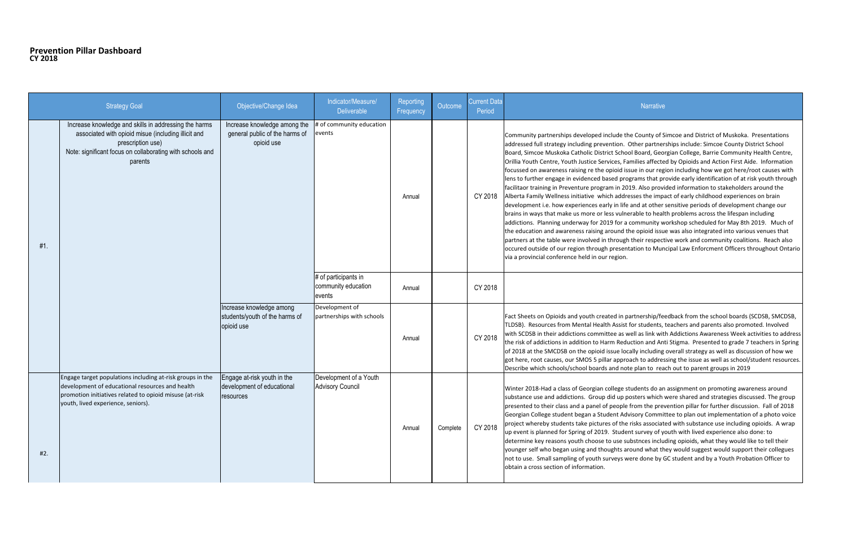## **Prevention Pillar Dashboard CY 2018**

|     | <b>Strategy Goal</b>                                                                                                                                                                                          | Objective/Change Idea                                                        | Indicator/Measure/<br><b>Deliverable</b>              | Reporting<br>Frequency | Outcome  | <b>Current Data</b><br>Period | Narrative                                                                                                                                                                                                                                                                                                                                                                                                                                                                                                                                                                                                                                                                                                                                                                                                                                                                                                                                                   |
|-----|---------------------------------------------------------------------------------------------------------------------------------------------------------------------------------------------------------------|------------------------------------------------------------------------------|-------------------------------------------------------|------------------------|----------|-------------------------------|-------------------------------------------------------------------------------------------------------------------------------------------------------------------------------------------------------------------------------------------------------------------------------------------------------------------------------------------------------------------------------------------------------------------------------------------------------------------------------------------------------------------------------------------------------------------------------------------------------------------------------------------------------------------------------------------------------------------------------------------------------------------------------------------------------------------------------------------------------------------------------------------------------------------------------------------------------------|
| #1. | Increase knowledge and skills in addressing the harms<br>associated with opioid misue (including illicit and<br>prescription use)<br>Note: significant focus on collaborating with schools and<br>parents     | Increase knowledge among the<br>general public of the harms of<br>opioid use | # of community education<br>events                    | Annual                 |          | CY 2018                       | Community partnerships developed include the County of S<br>addressed full strategy including prevention. Other partner<br>Board, Simcoe Muskoka Catholic District School Board, Geo<br>Orillia Youth Centre, Youth Justice Services, Families affecte<br>focussed on awareness raising re the opioid issue in our reg<br>lens to further engage in evidenced based programs that pr<br>facilitaor training in Preventure program in 2019. Also provi<br>Alberta Family Wellness initiative which addresses the imp<br>development i.e. how experiences early in life and at other<br>brains in ways that make us more or less vulnerable to heal<br>addictions. Planning underway for 2019 for a community w<br>the education and awareness raising around the opioid issu<br>partners at the table were involved in through their respect<br>occured outside of our region through presentation to Mur<br>via a provincial conference held in our region. |
|     |                                                                                                                                                                                                               |                                                                              | # of participants in<br>community education<br>events | Annual                 |          | CY 2018                       |                                                                                                                                                                                                                                                                                                                                                                                                                                                                                                                                                                                                                                                                                                                                                                                                                                                                                                                                                             |
|     |                                                                                                                                                                                                               | Increase knowledge among<br>students/youth of the harms of<br>opioid use     | Development of<br>partnerships with schools           | Annual                 |          | CY 2018                       | Fact Sheets on Opioids and youth created in partnership/fe<br>TLDSB). Resources from Mental Health Assist for students,<br>with SCDSB in their addictions committee as well as link wit<br>the risk of addictions in addition to Harm Reduction and An<br>of 2018 at the SMCDSB on the opioid issue locally including<br>got here, root causes, our SMOS 5 pillar approach to addres<br>Describe which schools/school boards and note plan to rea                                                                                                                                                                                                                                                                                                                                                                                                                                                                                                           |
| #2. | Engage target populations including at-risk groups in the<br>development of educational resources and health<br>promotion initiatives related to opioid misuse (at-risk<br>youth, lived experience, seniors). | Engage at-risk youth in the<br>development of educational<br>resources       | Development of a Youth<br><b>Advisory Council</b>     | Annual                 | Complete | CY 2018                       | Winter 2018-Had a class of Georgian college students do ar<br>substance use and addictions. Group did up posters which<br>presented to their class and a panel of people from the pret<br>Georgian College student began a Student Advisory Commi<br>project whereby students take pictures of the risks associat<br>up event is planned for Spring of 2019. Student survey of y<br>determine key reasons youth choose to use substnces inclu<br>younger self who began using and thoughts around what th<br>not to use. Small sampling of youth surveys were done by (<br>obtain a cross section of information.                                                                                                                                                                                                                                                                                                                                           |

the County of Simcoe and District of Muskoka. Presentations n. Other partnerships include: Simcoe County District School hool Board, Georgian College, Barrie Community Health Centre, , Families affected by Opioids and Action First Aide. Information lissue in our region including how we got here/root causes with programs that provide early identification of at risk youth through 2019. Also provided information to stakeholders around the Idresses the impact of early childhood experiences on brain life and at other sensitive periods of development change our ilnerable to health problems across the lifespan including a community workshop scheduled for May 8th 2019. Much of d the opioid issue was also integrated into various venues that ugh their respective work and community coalitions. Reach also entation to Muncipal Law Enforcment Officers throughout Ontario

n partnership/feedback from the school boards (SCDSB, SMCDSB, ist for students, teachers and parents also promoted. Involved is well as link with Addictions Awareness Week activities to address eduction and Anti Stigma. Presented to grade 7 teachers in Spring locally including overall strategy as well as discussion of how we proach to addressing the issue as well as school/student resources. note plan to reach out to parent groups in 2019

e students do an assignment on promoting awareness around p posters which were shared and strategies discussed. The group ple from the prevention pillar for further discussion. Fall of 2018 Advisory Committee to plan out implementation of a photo voice the risks associated with substance use including opioids. A wrap dent survey of youth with lived experience also done: to substnces including opioids, what they would like to tell their around what they would suggest would support their collegues were done by GC student and by a Youth Probation Officer to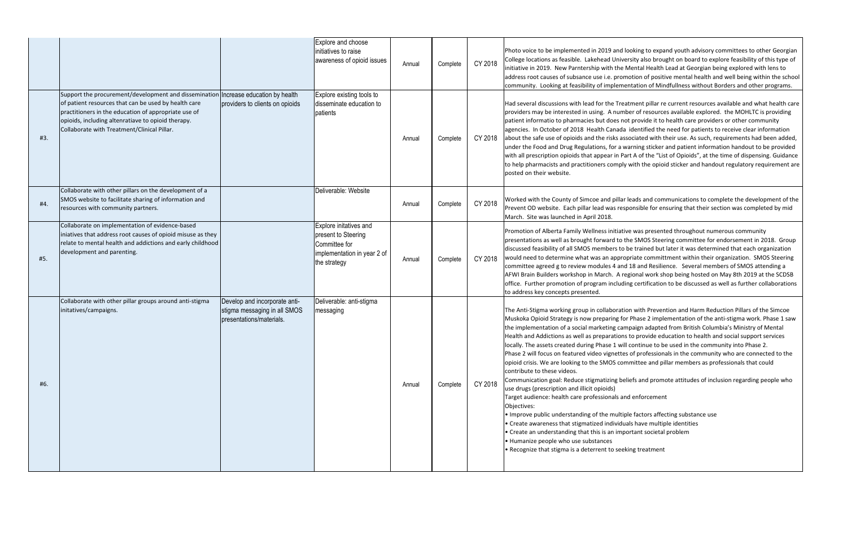|     |                                                                                                                                                                                                                                                                            |                                                                                           | Explore and choose<br>initiatives to raise<br>awareness of opioid issues                                      | Annual | Complete | CY 2018 | Photo voice to be implemented in 2019 and<br>College locations as feasible. Lakehead Uni<br>initiative in 2019. New Parntership with the<br>address root causes of subsance use i.e. pro<br>community. Looking at feasibility of impler                                                                                                                                                                                                                                                                                                                                                                                                                                                                                                                           |
|-----|----------------------------------------------------------------------------------------------------------------------------------------------------------------------------------------------------------------------------------------------------------------------------|-------------------------------------------------------------------------------------------|---------------------------------------------------------------------------------------------------------------|--------|----------|---------|-------------------------------------------------------------------------------------------------------------------------------------------------------------------------------------------------------------------------------------------------------------------------------------------------------------------------------------------------------------------------------------------------------------------------------------------------------------------------------------------------------------------------------------------------------------------------------------------------------------------------------------------------------------------------------------------------------------------------------------------------------------------|
| #3. | Support the procurement/development and dissemination<br>of patient resources that can be used by health care<br>practitioners in the education of appropriate use of<br>opioids, including altenratiave to opioid therapy.<br>Collaborate with Treatment/Clinical Pillar. | Increase education by health<br>providers to clients on opioids                           | Explore existing tools to<br>disseminate education to<br>patients                                             | Annual | Complete | CY 2018 | Had several discussions with lead for the Tr<br>providers may be interested in using. A nul<br>patient informatio to pharmacies but does<br>agencies. In October of 2018 Health Canad<br>about the safe use of opioids and the risks a<br>under the Food and Drug Regulations, for a<br>with all prescription opioids that appear in<br>to help pharmacists and practitioners comp<br>posted on their website.                                                                                                                                                                                                                                                                                                                                                    |
| #4. | Collaborate with other pillars on the development of a<br>SMOS website to facilitate sharing of information and<br>resources with community partners.                                                                                                                      |                                                                                           | Deliverable: Website                                                                                          | Annual | Complete | CY 2018 | Worked with the County of Simcoe and pill<br>Prevent OD website. Each pillar lead was re<br>March. Site was launched in April 2018.                                                                                                                                                                                                                                                                                                                                                                                                                                                                                                                                                                                                                               |
| #5. | Collaborate on implementation of evidence-based<br>iniatives that address root causes of opioid misuse as they<br>relate to mental health and addictions and early childhood<br>development and parenting.                                                                 |                                                                                           | Explore initatives and<br>present to Steering<br>Committee for<br>implementation in year 2 of<br>the strategy | Annual | Complete | CY 2018 | Promotion of Alberta Family Wellness initia<br>presentations as well as brought forward to<br>discussed feasibility of all SMOS members t<br>would need to determine what was an app<br>committee agreed g to review modules 4 a<br>AFWI Brain Builders workshop in March. A<br>office. Further promotion of program inclu<br>to address key concepts presented.                                                                                                                                                                                                                                                                                                                                                                                                  |
| #6. | Collaborate with other pillar groups around anti-stigma<br>initatives/campaigns.                                                                                                                                                                                           | Develop and incorporate anti-<br>stigma messaging in all SMOS<br>presentations/materials. | Deliverable: anti-stigma<br>messaging                                                                         | Annual | Complete | CY 2018 | The Anti-Stigma working group in collabora<br>Muskoka Opioid Strategy is now preparing<br>the implementation of a social marketing ca<br>Health and Addictions as well as preparatio<br>locally. The assets created during Phase 1 w<br>Phase 2 will focus on featured video vignet<br>opioid crisis. We are looking to the SMOS co<br>contribute to these videos.<br>Communication goal: Reduce stigmatizing b<br>use drugs (prescription and illicit opioids)<br>Target audience: health care professionals<br>Objectives:<br>. Improve public understanding of the mult<br>• Create awareness that stigmatized individ<br>• Create an understanding that this is an im<br>• Humanize people who use substances<br>• Recognize that stigma is a deterrent to se |

d looking to expand youth advisory committees to other Georgian iversity also brought on board to explore feasibility of this type of ie Mental Health Lead at Georgian being explored with lens to omotion of positive mental health and well being within the school mentation of Mindfullness without Borders and other programs.

reatment pillar re current resources available and what health care mber of resources available explored. the MOHLTC is providing not provide it to health care providers or other community da identified the need for patients to receive clear information associated with their use. As such, requirements had been added, under inder the Food and and patient information handout to be provided Part A of the "List of Opioids", at the time of dispensing. Guidance bly with the opioid sticker and handout regulatory requirement are

ar leads and communications to complete the development of the esponsible for ensuring that their section was completed by mid

ative was presented throughout numerous community p the SMOS Steering committee for endorsement in 2018. Group to be trained but later it was determined that each organization ropriate committment within their organization. SMOS Steering nd 18 and Resilience. Several members of SMOS attending a regional work shop being hosted on May 8th 2019 at the SCDSB ding certification to be discussed as well as further collaborations

Ition with Prevention and Harm Reduction Pillars of the Simcoe for Phase 2 implementation of the anti-stigma work. Phase 1 saw ampaign adapted from British Columbia's Ministry of Mental Ins to provide education to health and social support services vill continue to be used in the community into Phase 2. tes of professionals in the community who are connected to the ommittee and pillar members as professionals that could

beliefs and promote attitudes of inclusion regarding people who

and enforcement

tiple factors affecting substance use duals have multiple identities 1 portant societal problem

eeking treatment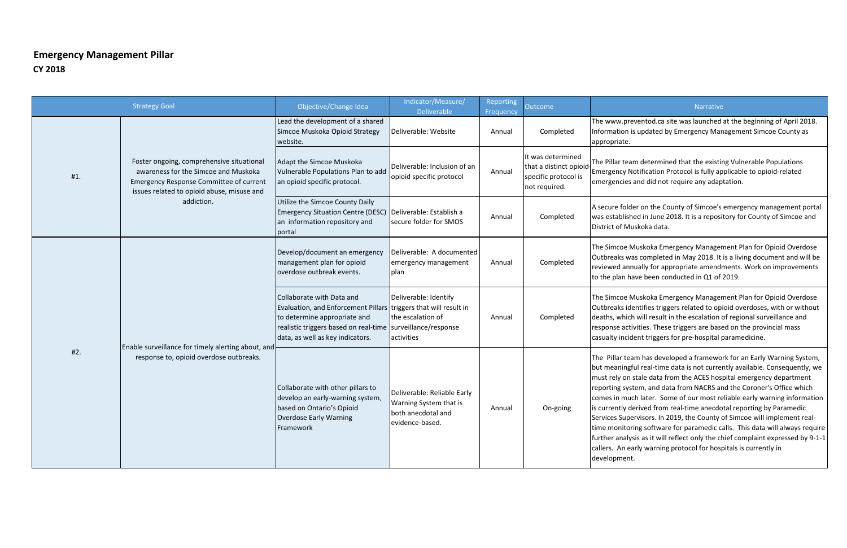# **Emergency Management Pillar CY 2018**

|     | <b>Strategy Goal</b>                                                                                                                                                              | Objective/Change Idea                                                                                                                                                                                                            | Indicator/Measure/<br><b>Deliverable</b>                                                       | Reporting<br>Frequency | <b>Outcome</b>                                                                        |                                                                                                                                                        |
|-----|-----------------------------------------------------------------------------------------------------------------------------------------------------------------------------------|----------------------------------------------------------------------------------------------------------------------------------------------------------------------------------------------------------------------------------|------------------------------------------------------------------------------------------------|------------------------|---------------------------------------------------------------------------------------|--------------------------------------------------------------------------------------------------------------------------------------------------------|
|     |                                                                                                                                                                                   | Lead the development of a shared<br>Simcoe Muskoka Opioid Strategy<br>website.                                                                                                                                                   | Deliverable: Website                                                                           | Annual                 | Completed                                                                             | The www.<br>Informatic<br>appropriat                                                                                                                   |
| #1. | Foster ongoing, comprehensive situational<br>awareness for the Simcoe and Muskoka<br><b>Emergency Response Committee of current</b><br>issues related to opioid abuse, misuse and | Adapt the Simcoe Muskoka<br>Vulnerable Populations Plan to add<br>an opioid specific protocol.                                                                                                                                   | Deliverable: Inclusion of an<br>opioid specific protocol                                       | Annual                 | It was determined<br>that a distinct opioid-<br>specific protocol is<br>not required. | The Pillar t<br>Emergency<br>emergenci                                                                                                                 |
|     | addiction.                                                                                                                                                                        | Utilize the Simcoe County Daily<br>Emergency Situation Centre (DESC)   Deliverable: Establish a<br>an information repository and<br>portal                                                                                       | secure folder for SMOS                                                                         | Annual                 | Completed                                                                             | A secure fo<br>was establ<br>District of                                                                                                               |
|     |                                                                                                                                                                                   | Develop/document an emergency<br>management plan for opioid<br>overdose outbreak events.                                                                                                                                         | Deliverable: A documented<br>emergency management<br>plan                                      | Annual                 | Completed                                                                             | The Simco<br>Outbreaks<br>reviewed a<br>to the plar                                                                                                    |
|     |                                                                                                                                                                                   | Collaborate with Data and<br>Evaluation, and Enforcement Pillars triggers that will result in<br>to determine appropriate and<br>realistic triggers based on real-time surveillance/response<br>data, as well as key indicators. | Deliverable: Identify<br>the escalation of<br>activities                                       | Annual                 | Completed                                                                             | The Simco<br>Outbreaks<br>deaths, wh<br>response a<br>casualty in                                                                                      |
| #2. | Enable surveillance for timely alerting about, and<br>response to, opioid overdose outbreaks.                                                                                     | Collaborate with other pillars to<br>develop an early-warning system,<br>based on Ontario's Opioid<br><b>Overdose Early Warning</b><br>Framework                                                                                 | Deliverable: Reliable Early<br>Warning System that is<br>both anecdotal and<br>evidence-based. | Annual                 | On-going                                                                              | The Pillar<br>but meani<br>must rely<br>reporting :<br>comes in r<br>is currently<br>Services Su<br>time moni<br>further an<br>callers. Ar<br>developm |

## Narrative

preventod.ca site was launched at the beginning of April 2018. In is updated by Emergency Management Simcoe County as te.

team determined that the existing Vulnerable Populations y Notification Protocol is fully applicable to opioid-related ies and did not require any adaptation.

older on the County of Simcoe's emergency management portal lished in June 2018. It is a repository for County of Simcoe and Muskoka data.

e Muskoka Emergency Management Plan for Opioid Overdose was completed in May 2018. It is a living document and will be annually for appropriate amendments. Work on improvements n have been conducted in Q1 of 2019.

e Muskoka Emergency Management Plan for Opioid Overdose identifies triggers related to opioid overdoses, with or without hich will result in the escalation of regional surveillance and activities. These triggers are based on the provincial mass icident triggers for pre-hospital paramedicine.

team has developed a framework for an Early Warning System, ingful real-time data is not currently available. Consequently, we on stale data from the ACES hospital emergency department system, and data from NACRS and the Coroner's Office which much later. Some of our most reliable early warning information y derived from real-time anecdotal reporting by Paramedic upervisors. In 2019, the County of Simcoe will implement realitoring software for paramedic calls. This data will always require alysis as it will reflect only the chief complaint expressed by 9-1-1 n early warning protocol for hospitals is currently in ent.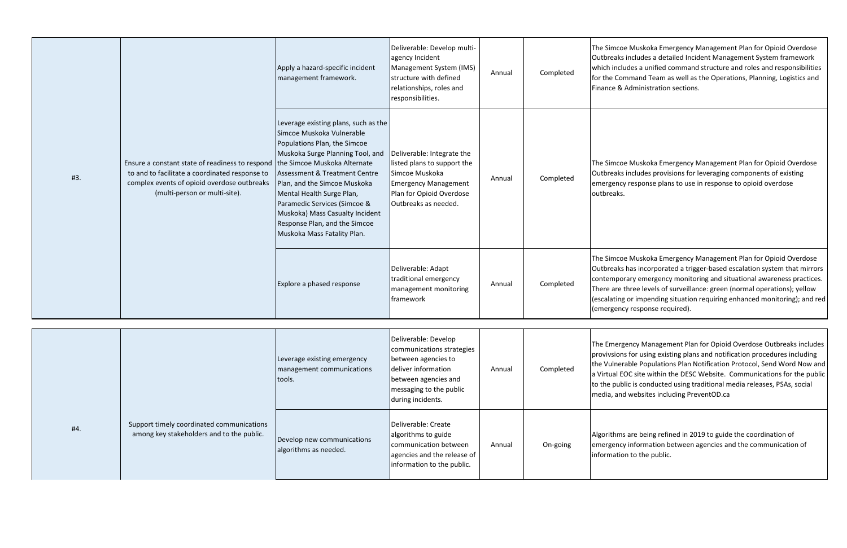|     |                                                                                                                                                                                   | Apply a hazard-specific incident<br>management framework.                                                                                                                                                                                                                                                                                                                                                         | Deliverable: Develop multi-<br>agency Incident<br>Management System (IMS)<br>structure with defined<br>relationships, roles and<br>responsibilities.                    | Annual | Completed | The Simco<br>Outbreaks<br>which inclu<br>for the Cor<br>Finance &                |
|-----|-----------------------------------------------------------------------------------------------------------------------------------------------------------------------------------|-------------------------------------------------------------------------------------------------------------------------------------------------------------------------------------------------------------------------------------------------------------------------------------------------------------------------------------------------------------------------------------------------------------------|-------------------------------------------------------------------------------------------------------------------------------------------------------------------------|--------|-----------|----------------------------------------------------------------------------------|
| #3. | Ensure a constant state of readiness to respond<br>to and to facilitate a coordinated response to<br>complex events of opioid overdose outbreaks<br>(multi-person or multi-site). | Leverage existing plans, such as the<br>Simcoe Muskoka Vulnerable<br>Populations Plan, the Simcoe<br>Muskoka Surge Planning Tool, and<br>the Simcoe Muskoka Alternate<br><b>Assessment &amp; Treatment Centre</b><br>Plan, and the Simcoe Muskoka<br>Mental Health Surge Plan,<br>Paramedic Services (Simcoe &<br>Muskoka) Mass Casualty Incident<br>Response Plan, and the Simcoe<br>Muskoka Mass Fatality Plan. | Deliverable: Integrate the<br>listed plans to support the<br>Simcoe Muskoka<br><b>Emergency Management</b><br>Plan for Opioid Overdose<br>Outbreaks as needed.          | Annual | Completed | The Simco<br>Outbreaks<br>emergency<br>outbreaks.                                |
|     |                                                                                                                                                                                   | Explore a phased response                                                                                                                                                                                                                                                                                                                                                                                         | Deliverable: Adapt<br>traditional emergency<br>management monitoring<br>framework                                                                                       | Annual | Completed | The Simco<br>Outbreaks<br>contempor<br>There are t<br>(escalating<br>(emergend   |
|     |                                                                                                                                                                                   | Leverage existing emergency<br>management communications<br>tools.                                                                                                                                                                                                                                                                                                                                                | Deliverable: Develop<br>communications strategies<br>between agencies to<br>deliver information<br>between agencies and<br>messaging to the public<br>during incidents. | Annual | Completed | The Emerg<br>provivsion<br>the Vulner<br>a Virtual E<br>to the pub<br>media, and |
| #4. | Support timely coordinated communications<br>among key stakeholders and to the public.                                                                                            | Develop new communications<br>algorithms as needed.                                                                                                                                                                                                                                                                                                                                                               | Deliverable: Create<br>algorithms to guide<br>communication between<br>agencies and the release of<br>information to the public.                                        | Annual | On-going  | Algorithms<br>emergency<br>informatio                                            |

oe Muskoka Emergency Management Plan for Opioid Overdose s includes a detailed Incident Management System framework ludes a unified command structure and roles and responsibilities ommand Team as well as the Operations, Planning, Logistics and Administration sections.

oe Muskoka Emergency Management Plan for Opioid Overdose ts includes provisions for leveraging components of existing cy response plans to use in response to opioid overdose

oe Muskoka Emergency Management Plan for Opioid Overdose ts has incorporated a trigger-based escalation system that mirrors orary emergency monitoring and situational awareness practices. three levels of surveillance: green (normal operations); yellow (espalanced monitory and in perions or impending and red (exponse required).

rgency Management Plan for Opioid Overdose Outbreaks includes ns for using existing plans and notification procedures including erable Populations Plan Notification Protocol, Send Word Now and EOC site within the DESC Website. Communications for the public blic is conducted using traditional media releases, PSAs, social nd websites including PreventOD.ca

as are being refined in 2019 to guide the coordination of cy information between agencies and the communication of ion to the public.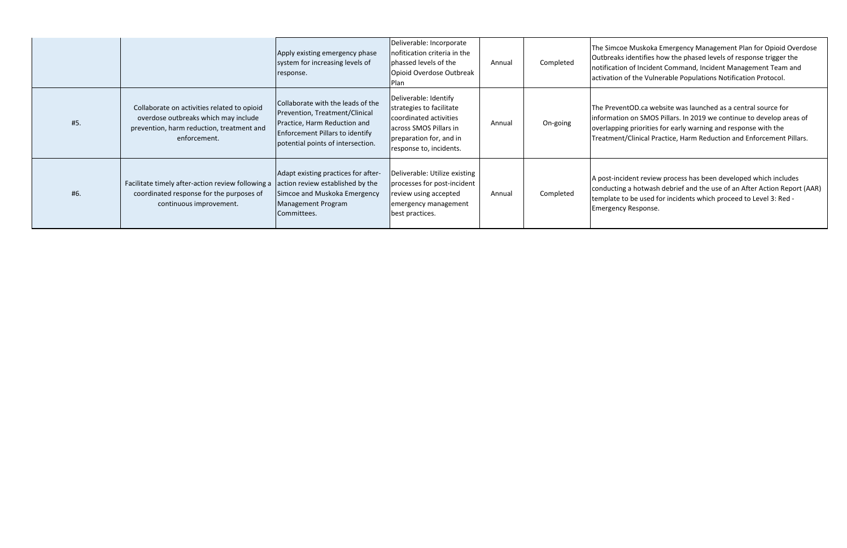|     |                                                                                                                                                  | Apply existing emergency phase<br>system for increasing levels of<br>response.                                                                                                     | Deliverable: Incorporate<br>nofitication criteria in the<br>phassed levels of the<br>Opioid Overdose Outbreak<br><b>Plan</b>                                | Annual | Completed | The Simcc<br><b>Outbreaks</b><br>notificatic<br>activation |
|-----|--------------------------------------------------------------------------------------------------------------------------------------------------|------------------------------------------------------------------------------------------------------------------------------------------------------------------------------------|-------------------------------------------------------------------------------------------------------------------------------------------------------------|--------|-----------|------------------------------------------------------------|
| #5. | Collaborate on activities related to opioid<br>overdose outbreaks which may include<br>prevention, harm reduction, treatment and<br>enforcement. | Collaborate with the leads of the<br>Prevention, Treatment/Clinical<br>Practice, Harm Reduction and<br><b>Enforcement Pillars to identify</b><br>potential points of intersection. | Deliverable: Identify<br>strategies to facilitate<br>coordinated activities<br>across SMOS Pillars in<br>preparation for, and in<br>response to, incidents. | Annual | On-going  | The Preve<br>informatio<br>overlappir<br>Treatmen          |
| #6. | Facilitate timely after-action review following a<br>coordinated response for the purposes of<br>continuous improvement.                         | Adapt existing practices for after-<br>action review established by the<br>Simcoe and Muskoka Emergency<br>Management Program<br>Committees.                                       | Deliverable: Utilize existing<br>processes for post-incident<br>review using accepted<br>emergency management<br>best practices.                            | Annual | Completed | A post-inc<br>conductin<br>template<br>Emergenc            |

oe Muskoka Emergency Management Plan for Opioid Overdose s identifies how the phased levels of response trigger the on of Incident Command, Incident Management Team and of the Vulnerable Populations Notification Protocol.

entOD.ca website was launched as a central source for ion on SMOS Pillars. In 2019 we continue to develop areas of ing priorities for early warning and response with the nt/Clinical Practice, Harm Reduction and Enforcement Pillars.

cident review process has been developed which includes ng a hotwash debrief and the use of an After Action Report (AAR) to be used for incidents which proceed to Level 3: Red cy Response.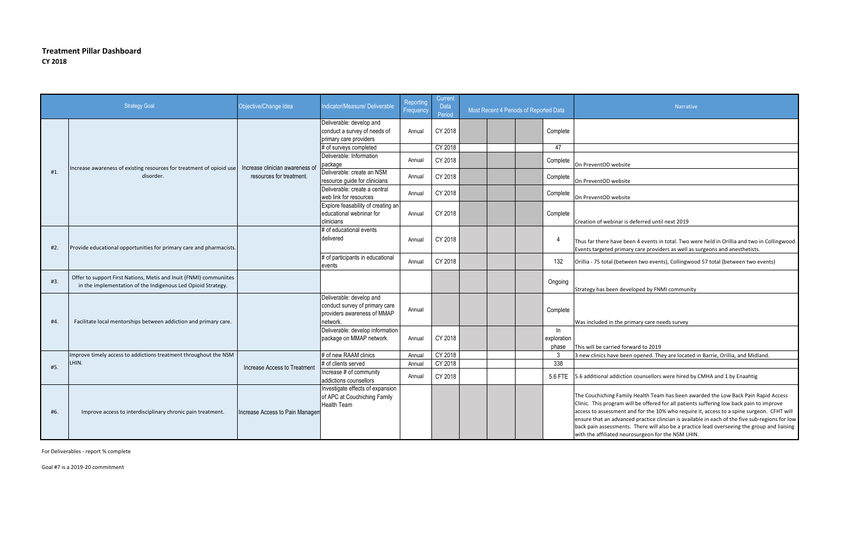## **Treatment Pillar Dashboard CY 2018**

| <b>Strategy Goal</b> |                                                                                                                                    | Objective/Change Idea           | Indicator/Measure/ Deliverable                                                                        | Reporting<br>Frequency | Current<br>Data<br>Period | Most Recent 4 Periods of Reported Data |  |  |                               |                                                                                                                                                           |
|----------------------|------------------------------------------------------------------------------------------------------------------------------------|---------------------------------|-------------------------------------------------------------------------------------------------------|------------------------|---------------------------|----------------------------------------|--|--|-------------------------------|-----------------------------------------------------------------------------------------------------------------------------------------------------------|
|                      |                                                                                                                                    |                                 | Deliverable: develop and<br>conduct a survey of needs of<br>primary care providers                    | Annual                 | CY 2018                   |                                        |  |  | Complete                      |                                                                                                                                                           |
|                      |                                                                                                                                    |                                 | # of surveys completed                                                                                |                        | CY 2018                   |                                        |  |  | 47                            |                                                                                                                                                           |
|                      |                                                                                                                                    | Increase clinician awareness of | Deliverable: Information<br>package                                                                   | Annual                 | CY 2018                   |                                        |  |  | Complete                      | On PreventOD website                                                                                                                                      |
| #1.                  | Increase awareness of existing resources for treatment of opioid use<br>disorder.                                                  | resources for treatment.        | Deliverable: create an NSM<br>resource guide for clinicians                                           | Annual                 | CY 2018                   |                                        |  |  | Complete                      | On PreventOD website                                                                                                                                      |
|                      |                                                                                                                                    |                                 | Deliverable: create a central<br>web link for resources                                               | Annual                 | CY 2018                   |                                        |  |  | Complete                      | On PreventOD website                                                                                                                                      |
|                      |                                                                                                                                    |                                 | Explore feasability of creating an<br>educational webninar for<br>clinicians                          | Annual                 | CY 2018                   |                                        |  |  | Complete                      | Creation of webinar is                                                                                                                                    |
| #2.                  | Provide educational opportunities for primary care and pharmacists.                                                                |                                 | # of educational events<br>delivered                                                                  | Annual                 | CY 2018                   |                                        |  |  | $\overline{4}$                | Thus far there have be<br>Events targeted primar                                                                                                          |
|                      |                                                                                                                                    |                                 | # of participants in educational<br>events                                                            | Annual                 | CY 2018                   |                                        |  |  | 132                           | Orillia - 75 total (betwe                                                                                                                                 |
| #3.                  | Offer to support First Nations, Metis and Inuit (FNMI) communiites<br>in the implementation of the Indigenous Led Opioid Strategy. |                                 |                                                                                                       |                        |                           |                                        |  |  | Ongoing                       | Strategy has been deve                                                                                                                                    |
| #4.                  | Facilitate local mentorships between addiction and primary care.                                                                   |                                 | Deliverable: develop and<br>conduct survey of primary care<br>providers awareness of MMAP<br>network. | Annual                 |                           |                                        |  |  | Complete                      | Was included in the pr                                                                                                                                    |
|                      |                                                                                                                                    |                                 | Deliverable: develop information<br>package on MMAP network.                                          | Annual                 | CY 2018                   |                                        |  |  | $\ln$<br>exploration<br>phase | This will be carried for                                                                                                                                  |
|                      | Improve timely access to addictions treatment throughout the NSM                                                                   |                                 | # of new RAAM clinics                                                                                 | Annual                 | CY 2018                   |                                        |  |  | $\mathbf{3}$                  | 3 new clinics have beer                                                                                                                                   |
| #5.                  | LHIN.                                                                                                                              | Increase Access to Treatment    | # of clients served                                                                                   | Annual                 | CY 2018                   |                                        |  |  | 338                           |                                                                                                                                                           |
|                      |                                                                                                                                    |                                 | Increase # of community<br>addictions counsellors                                                     | Annual                 | CY 2018                   |                                        |  |  | 5.6 FTE                       | 5.6 additional addiction                                                                                                                                  |
| #6.                  | Improve access to interdisciplinary chronic pain treatment.                                                                        | Increase Access to Pain Managem | Investigate effects of expansion<br>of APC at Couchiching Family<br><b>Health Team</b>                |                        |                           |                                        |  |  |                               | The Couchiching Family<br>Clinic. This program w<br>access to assessment a<br>ensure that an advance<br>back pain assessments<br>with the affiliated neur |

For Deliverables - report % complete

Goal #7 is a 2019-20 commitment

r is deferred until next 2019

e been 4 events in total. Two were held in Orillia and two in Collingwood. imary care providers as well as surgeons and anesthetists.

etween two events), Collingwood 57 total (between two events)

developed by FNMI community

e primary care needs survey

forward to 2019

been opened. They are located in Barrie, Orillia, and Midland.

ction counsellors were hired by CMHA and 1 by Enaahtig

amily Health Team has been awarded the Low Back Pain Rapid Access m will be offered for all patients suffering low back pain to improve ent and for the 10% who require it, access to a spine surgeon. CFHT will anced practice clincian is available in each of the five sub-regions for low ents. There will also be a practice lead overseeing the group and liaising neurosurgeon for the NSM LHIN.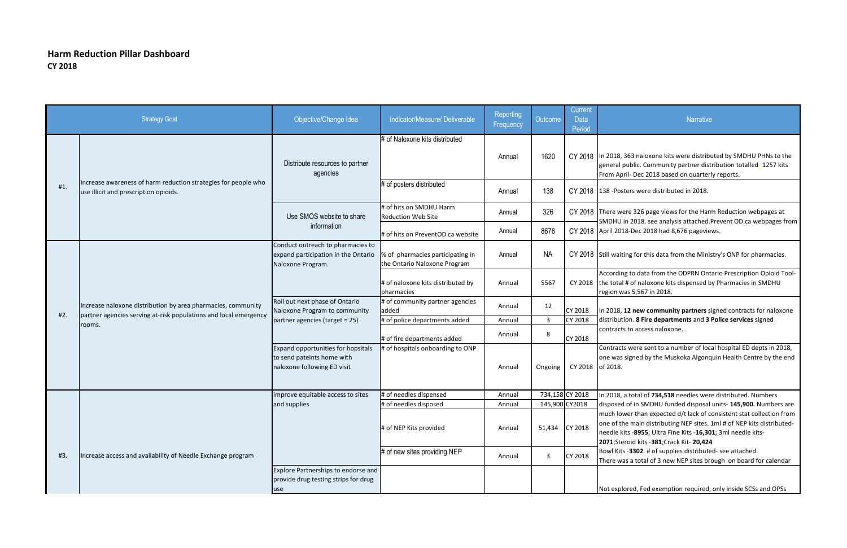## **Harm Reduction Pillar Dashboard CY 2018**

, a total of 734,518 needles were distributed. Numbers d of in SMDHU funded disposal units- 145,900. Numbers are ower than expected d/t lack of consistent stat collection from the main distributing NEP sites. 1ml # of NEP kits distributedkits -8955; Ultra Fine Kits -16,301; 3ml needle kits-**2071**;Steroid kits -**381**;Crack Kit- **20,424**

ts -3302. # of supplies distributed- see attached. vas a total of 3 new NEP sites brough on board for calendar

llored, Fed exemption required, only inside SCSs and OPSs

|     | <b>Strategy Goal</b>                                                                                    | Objective/Change Idea                                                                           | Indicator/Measure/ Deliverable                                   | Reporting<br>Frequency | Outcome        | <b>Current</b><br><b>Data</b><br>Period |                                             |
|-----|---------------------------------------------------------------------------------------------------------|-------------------------------------------------------------------------------------------------|------------------------------------------------------------------|------------------------|----------------|-----------------------------------------|---------------------------------------------|
|     |                                                                                                         | Distribute resources to partner<br>agencies                                                     | # of Naloxone kits distributed                                   | Annual                 | 1620           | CY 2018                                 | In 2018,<br>general<br>From Ap              |
| #1. | Increase awareness of harm reduction strategies for people who<br>use illicit and prescription opioids. |                                                                                                 | # of posters distributed                                         | Annual                 | 138            | CY 2018                                 | 138 - Po:                                   |
|     |                                                                                                         | Use SMOS website to share                                                                       | # of hits on SMDHU Harm<br><b>Reduction Web Site</b>             | Annual                 | 326            | CY 2018                                 | There w<br>SMDHU                            |
|     |                                                                                                         | information                                                                                     | # of hits on PreventOD.ca website                                | Annual                 | 8676           | CY 2018                                 | April 20                                    |
|     |                                                                                                         | Conduct outreach to pharmacies to<br>expand participation in the Ontario<br>Naloxone Program.   | % of pharmacies participating in<br>the Ontario Naloxone Program | Annual                 | <b>NA</b>      | CY 2018 Still wait                      |                                             |
|     |                                                                                                         |                                                                                                 | # of naloxone kits distributed by<br>pharmacies                  | Annual                 | 5567           | CY 2018                                 | Accordir<br>the tota<br>region v            |
|     | Increase naloxone distribution by area pharmacies, community                                            | Roll out next phase of Ontario<br>Naloxone Program to community                                 | # of community partner agencies<br>added                         | Annual                 | 12             | <b>CY 2018</b>                          | In 2018,                                    |
| #2. | partner agencies serving at-risk populations and local emergency                                        | partner agencies (target = 25)                                                                  | # of police departments added                                    | Annual                 | $\mathbf{3}$   | CY 2018                                 | distribut                                   |
|     | rooms.                                                                                                  |                                                                                                 | # of fire departments added                                      | Annual                 | 8              | CY 2018                                 | contract                                    |
|     |                                                                                                         | Expand opportunities for hopsitals<br>to send pateints home with<br>naloxone following ED visit | # of hospitals onboarding to ONP                                 | Annual                 | Ongoing        | CY 2018                                 | Contract<br>one was<br>of 2018.             |
|     |                                                                                                         | improve equitable access to sites                                                               | # of needles dispensed                                           | Annual                 |                | 734,158 CY 2018                         | In 2018,                                    |
|     |                                                                                                         | and supplies                                                                                    | # of needles disposed                                            | Annual                 | 145,900 CY2018 |                                         | dispose                                     |
|     |                                                                                                         |                                                                                                 | # of NEP Kits provided                                           | Annual                 | 51,434         | CY 2018                                 | much lo<br>one of t<br>needle k<br>2071;Ste |
| #3. | Increase access and availability of Needle Exchange program                                             |                                                                                                 | # of new sites providing NEP                                     | Annual                 | 3              | <b>CY 2018</b>                          | <b>Bowl Kit</b><br>There w                  |
|     |                                                                                                         | Explore Partnerships to endorse and<br>provide drug testing strips for drug<br>use              |                                                                  |                        |                |                                         | Not exp                                     |

## **Narrative**

363 naloxone kits were distributed by SMDHU PHNs to the public. Community partner distribution totalled 1257 kits pril- Dec 2018 based on quarterly reports.

Asters were distributed in 2018.

vere 326 page views for the Harm Reduction webpages at I in 2018. see analysis attached.Prevent OD.ca webpages from 18-Dec 2018 had 8,676 pageviews.

iting for this data from the Ministry's ONP for pharmacies.

ng to data from the ODPRN Ontario Prescription Opioid Toolal # of naloxone kits dispensed by Pharmacies in SMDHU was 5,567 in 2018.

, 12 new community partners signed contracts for naloxone **tion. 8 Fire departments and 3 Police services** signed ts to access naloxone.

cts were sent to a number of local hospital ED depts in 2018, s signed by the Muskoka Algonquin Health Centre by the end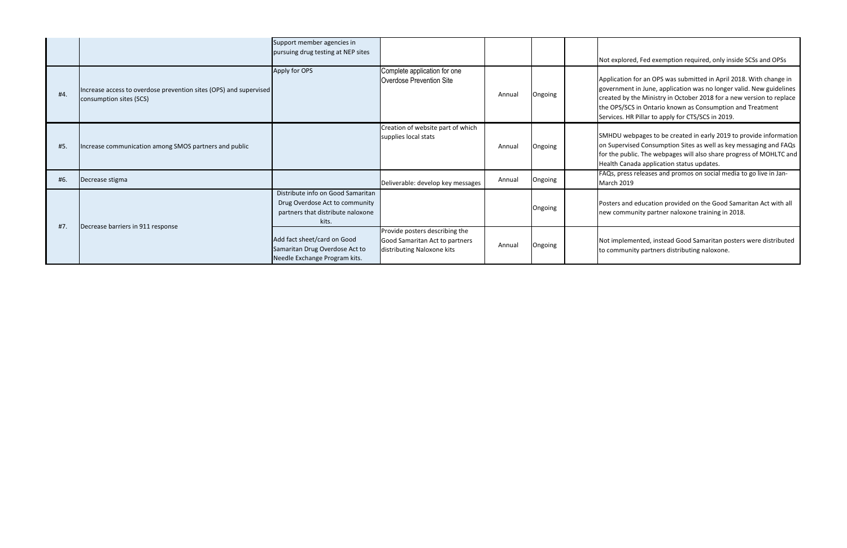|     |                                                                                              | Support member agencies in<br>pursuing drug testing at NEP sites                                                  |                                                                                                |        |         | Not expl                                                   |
|-----|----------------------------------------------------------------------------------------------|-------------------------------------------------------------------------------------------------------------------|------------------------------------------------------------------------------------------------|--------|---------|------------------------------------------------------------|
| #4. | Increase access to overdose prevention sites (OPS) and supervised<br>consumption sites (SCS) | Apply for OPS                                                                                                     | Complete application for one<br>Overdose Prevention Site                                       | Annual | Ongoing | Applicati<br>governm<br>created I<br>the OPS/<br>Services. |
| #5. | Increase communication among SMOS partners and public                                        |                                                                                                                   | Creation of website part of which<br>supplies local stats                                      | Annual | Ongoing | SMHDU<br>on Super<br>for the p<br><b>Health C</b>          |
| #6. | Decrease stigma                                                                              |                                                                                                                   | Deliverable: develop key messages                                                              | Annual | Ongoing | FAQs, pr<br>March 2                                        |
|     |                                                                                              | Distribute info on Good Samaritan<br>Drug Overdose Act to community<br>partners that distribute naloxone<br>kits. |                                                                                                |        | Ongoing | Posters a<br>new com                                       |
| #7. | Decrease barriers in 911 response                                                            | Add fact sheet/card on Good<br>Samaritan Drug Overdose Act to<br>Needle Exchange Program kits.                    | Provide posters describing the<br>Good Samaritan Act to partners<br>distributing Naloxone kits | Annual | Ongoing | Not impl<br>to comm                                        |

### lored, Fed exemption required, only inside SCSs and OPSs

ion for an OPS was submitted in April 2018. With change in nent in June, application was no longer valid. New guidelines by the Ministry in October 2018 for a new version to replace /SCS in Ontario known as Consumption and Treatment  $\therefore$  HR Pillar to apply for CTS/SCS in 2019.

webpages to be created in early 2019 to provide information rvised Consumption Sites as well as key messaging and FAQs oublic. The webpages will also share progress of MOHLTC and anada application status updates.

ress releases and promos on social media to go live in Jan- $2019$ 

and education provided on the Good Samaritan Act with all nmunity partner naloxone training in 2018.

lemented, instead Good Samaritan posters were distributed nunity partners distributing naloxone.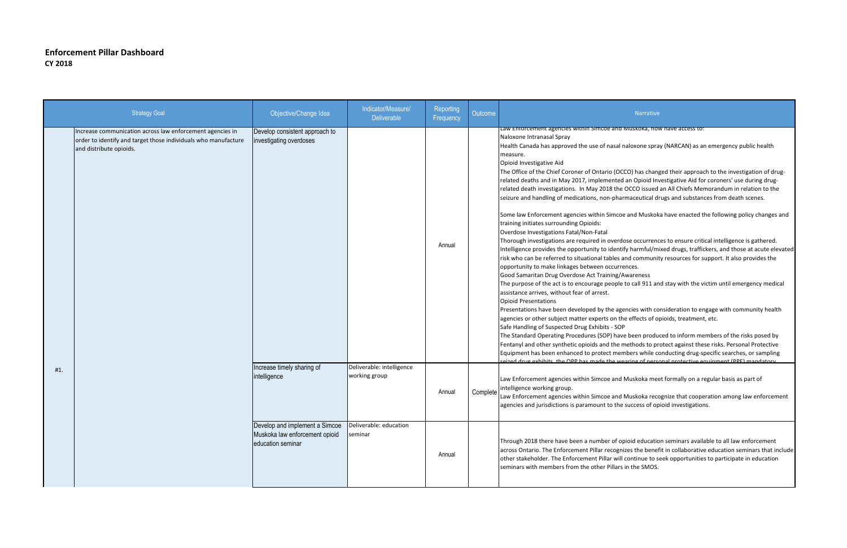## **Enforcement Pillar Dashboard CY 2018**

ave been produced to inform members of the risks posed by methods to protect against these risks. Personal Protective embers while conducting drug-specific searches, or sampling seized drug exhibits, the OPP has made the wearing of personal protective equipment (PPE) mandatory.

d Muskoka meet formally on a regular basis as part of

d Muskoka recognize that cooperation among law enforcement ne success of opioid investigations.

opioid education seminars available to all law enforcement mizes the benefit in collaborative education seminars that include ill continue to seek opportunities to participate in education rs in the SMOS.

| <b>Strategy Goal</b>                                                                                                                                   | Objective/Change Idea                                                                 | Indicator/Measure/<br><b>Deliverable</b>   | Reporting<br>Frequency | Outcome  | Narrative                                                                                                                                                                                                                                                                                                                                                                                                                                                                                                                                                                                                                                                                                                                                                                                                                                                                                                                                                                                                                                                                                                                                                                                                                                                                                                                                                                                                                                                                               |
|--------------------------------------------------------------------------------------------------------------------------------------------------------|---------------------------------------------------------------------------------------|--------------------------------------------|------------------------|----------|-----------------------------------------------------------------------------------------------------------------------------------------------------------------------------------------------------------------------------------------------------------------------------------------------------------------------------------------------------------------------------------------------------------------------------------------------------------------------------------------------------------------------------------------------------------------------------------------------------------------------------------------------------------------------------------------------------------------------------------------------------------------------------------------------------------------------------------------------------------------------------------------------------------------------------------------------------------------------------------------------------------------------------------------------------------------------------------------------------------------------------------------------------------------------------------------------------------------------------------------------------------------------------------------------------------------------------------------------------------------------------------------------------------------------------------------------------------------------------------------|
| Increase communication across law enforcement agencies in<br>order to identify and target those individuals who manufacture<br>and distribute opioids. | Develop consistent approach to<br>investigating overdoses                             |                                            | Annual                 |          | Law Enforcement agencies within Simcoe and Muskoka, nov<br>Naloxone Intranasal Spray<br>Health Canada has approved the use of nasal naloxone spra<br>measure.<br>Opioid Investigative Aid<br>The Office of the Chief Coroner of Ontario (OCCO) has chang<br>related deaths and in May 2017, implemented an Opioid Inv<br>related death investigations. In May 2018 the OCCO issued<br>seizure and handling of medications, non-pharmaceutical di<br>Some law Enforcement agencies within Simcoe and Muskok<br>training initiates surrounding Opioids:<br>Overdose Investigations Fatal/Non-Fatal<br>Thorough investigations are required in overdose occurrend<br>Intelligence provides the opportunity to identify harmful/mi<br>risk who can be referred to situational tables and communit<br>opportunity to make linkages between occurrences.<br>Good Samaritan Drug Overdose Act Training/Awareness<br>The purpose of the act is to encourage people to call 911 an<br>assistance arrives, without fear of arrest.<br><b>Opioid Presentations</b><br>Presentations have been developed by the agencies with co<br>agencies or other subject matter experts on the effects of o<br>Safe Handling of Suspected Drug Exhibits - SOP<br>The Standard Operating Procedures (SOP) have been produ<br>Fentanyl and other synthetic opioids and the methods to pr<br>Equipment has been enhanced to protect members while co<br>eized drug exhibits the OPP has made the wearing of nerse |
| #1.                                                                                                                                                    | Increase timely sharing of<br>intelligence                                            | Deliverable: intelligence<br>working group | Annual                 | Complete | Law Enforcement agencies within Simcoe and Muskoka mee<br>intelligence working group.<br>Law Enforcement agencies within Simcoe and Muskoka reco<br>agencies and jurisdictions is paramount to the success of op                                                                                                                                                                                                                                                                                                                                                                                                                                                                                                                                                                                                                                                                                                                                                                                                                                                                                                                                                                                                                                                                                                                                                                                                                                                                        |
|                                                                                                                                                        | Develop and implement a Simcoe<br>Muskoka law enforcement opioid<br>education seminar | Deliverable: education<br>seminar          | Annual                 |          | Through 2018 there have been a number of opioid educatio<br>across Ontario. The Enforcement Pillar recognizes the benef<br>other stakeholder. The Enforcement Pillar will continue to s<br>seminars with members from the other Pillars in the SMOS.                                                                                                                                                                                                                                                                                                                                                                                                                                                                                                                                                                                                                                                                                                                                                                                                                                                                                                                                                                                                                                                                                                                                                                                                                                    |

d Muskoka, now have access to:

I naloxone spray (NARCAN) as an emergency public health

OCCO) has changed their approach to the investigation of druged an Opioid Investigative Aid for coroners' use during drugne OCCO issued an All Chiefs Memorandum in relation to the armaceutical drugs and substances from death scenes.

toe and Muskoka have enacted the following policy changes and

rdose occurrences to ensure critical intelligence is gathered. ntify harmful/mixed drugs, traffickers, and those at acute elevated and community resources for support. It also provides the rences.

Ie to call 911 and stay with the victim until emergency medical

gencies with consideration to engage with community health the effects of opioids, treatment, etc.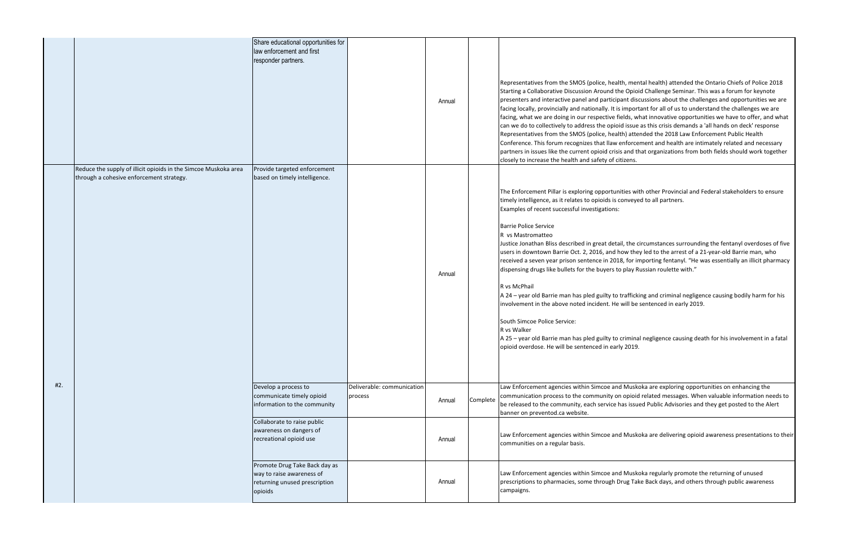| Share educational opportunities for<br>law enforcement and first<br>responder partners.<br>Representatives from the SMOS (police, health, men<br>Starting a Collaborative Discussion Around the Opioi<br>presenters and interactive panel and participant disc<br>Annual<br>facing locally, provincially and nationally. It is import<br>facing, what we are doing in our respective fields, w<br>can we do to collectively to address the opioid issue<br>Representatives from the SMOS (police, health) atte<br>Conference. This forum recognizes that llaw enforce<br>partners in issues like the current opioid crisis and th<br>closely to increase the health and safety of citizens.<br>Provide targeted enforcement<br>Reduce the supply of illicit opioids in the Simcoe Muskoka area<br>through a cohesive enforcement strategy.<br>based on timely intelligence.<br>The Enforcement Pillar is exploring opportunities wit<br>timely intelligence, as it relates to opioids is conveye<br>Examples of recent successful investigations:<br><b>Barrie Police Service</b><br>R vs Mastromatteo<br>Justice Jonathan Bliss described in great detail, the c<br>users in downtown Barrie Oct. 2, 2016, and how the<br>received a seven year prison sentence in 2018, for ir<br>dispensing drugs like bullets for the buyers to play R<br>Annual<br>R vs McPhail<br>A 24 - year old Barrie man has pled guilty to traffick<br>involvement in the above noted incident. He will be<br>South Simcoe Police Service:<br>R vs Walker<br>A 25 - year old Barrie man has pled guilty to crimina<br>opioid overdose. He will be sentenced in early 2019.<br>#2.<br>Law Enforcement agencies within Simcoe and Muske<br>Deliverable: communication<br>Develop a process to<br>communicate timely opioid<br>communication process to the community on opioid<br>process<br>Complete<br>Annual<br>be released to the community, each service has issue<br>information to the community<br>banner on preventod.ca website.<br>Collaborate to raise public<br>awareness on dangers of<br>Law Enforcement agencies within Simcoe and Muske<br>recreational opioid use<br>Annual<br>communities on a regular basis.<br>Promote Drug Take Back day as<br>Law Enforcement agencies within Simcoe and Muske<br>way to raise awareness of<br>prescriptions to pharmacies, some through Drug Tak<br>Annual<br>returning unused prescription<br>campaigns.<br>opioids |  |  |  |  |
|-------------------------------------------------------------------------------------------------------------------------------------------------------------------------------------------------------------------------------------------------------------------------------------------------------------------------------------------------------------------------------------------------------------------------------------------------------------------------------------------------------------------------------------------------------------------------------------------------------------------------------------------------------------------------------------------------------------------------------------------------------------------------------------------------------------------------------------------------------------------------------------------------------------------------------------------------------------------------------------------------------------------------------------------------------------------------------------------------------------------------------------------------------------------------------------------------------------------------------------------------------------------------------------------------------------------------------------------------------------------------------------------------------------------------------------------------------------------------------------------------------------------------------------------------------------------------------------------------------------------------------------------------------------------------------------------------------------------------------------------------------------------------------------------------------------------------------------------------------------------------------------------------------------------------------------------------------------------------------------------------------------------------------------------------------------------------------------------------------------------------------------------------------------------------------------------------------------------------------------------------------------------------------------------------------------------------------------------------------------------------------------------------------------------------------------------------------|--|--|--|--|
|                                                                                                                                                                                                                                                                                                                                                                                                                                                                                                                                                                                                                                                                                                                                                                                                                                                                                                                                                                                                                                                                                                                                                                                                                                                                                                                                                                                                                                                                                                                                                                                                                                                                                                                                                                                                                                                                                                                                                                                                                                                                                                                                                                                                                                                                                                                                                                                                                                                       |  |  |  |  |
|                                                                                                                                                                                                                                                                                                                                                                                                                                                                                                                                                                                                                                                                                                                                                                                                                                                                                                                                                                                                                                                                                                                                                                                                                                                                                                                                                                                                                                                                                                                                                                                                                                                                                                                                                                                                                                                                                                                                                                                                                                                                                                                                                                                                                                                                                                                                                                                                                                                       |  |  |  |  |
|                                                                                                                                                                                                                                                                                                                                                                                                                                                                                                                                                                                                                                                                                                                                                                                                                                                                                                                                                                                                                                                                                                                                                                                                                                                                                                                                                                                                                                                                                                                                                                                                                                                                                                                                                                                                                                                                                                                                                                                                                                                                                                                                                                                                                                                                                                                                                                                                                                                       |  |  |  |  |
|                                                                                                                                                                                                                                                                                                                                                                                                                                                                                                                                                                                                                                                                                                                                                                                                                                                                                                                                                                                                                                                                                                                                                                                                                                                                                                                                                                                                                                                                                                                                                                                                                                                                                                                                                                                                                                                                                                                                                                                                                                                                                                                                                                                                                                                                                                                                                                                                                                                       |  |  |  |  |
|                                                                                                                                                                                                                                                                                                                                                                                                                                                                                                                                                                                                                                                                                                                                                                                                                                                                                                                                                                                                                                                                                                                                                                                                                                                                                                                                                                                                                                                                                                                                                                                                                                                                                                                                                                                                                                                                                                                                                                                                                                                                                                                                                                                                                                                                                                                                                                                                                                                       |  |  |  |  |

th, mental health) attended the Ontario Chiefs of Police 2018 e Opioid Challenge Seminar. This was a forum for keynote ant discussions about the challenges and opportunities we are important for all of us to understand the challenges we are elds, what innovative opportunities we have to offer, and what d issue as this crisis demands a 'all hands on deck' response th) attended the 2018 Law Enforcement Public Health enforcement and health are intimately related and necessary and that organizations from both fields should work together izens.

Ities with other Provincial and Federal stakeholders to ensure onveyed to all partners.

il, the circumstances surrounding the fentanyl overdoses of five ow they led to the arrest of a 21-year-old Barrie man, who 8, for importing fentanyl. "He was essentially an illicit pharmacy play Russian roulette with."

trafficking and criminal negligence causing bodily harm for his will be sentenced in early 2019.

criminal negligence causing death for his involvement in a fatal

I Muskoka are exploring opportunities on enhancing the nopioid related messages. When valuable information needs to as issued Public Advisories and they get posted to the Alert

I Muskoka are delivering opioid awareness presentations to their

I Muskoka regularly promote the returning of unused rug Take Back days, and others through public awareness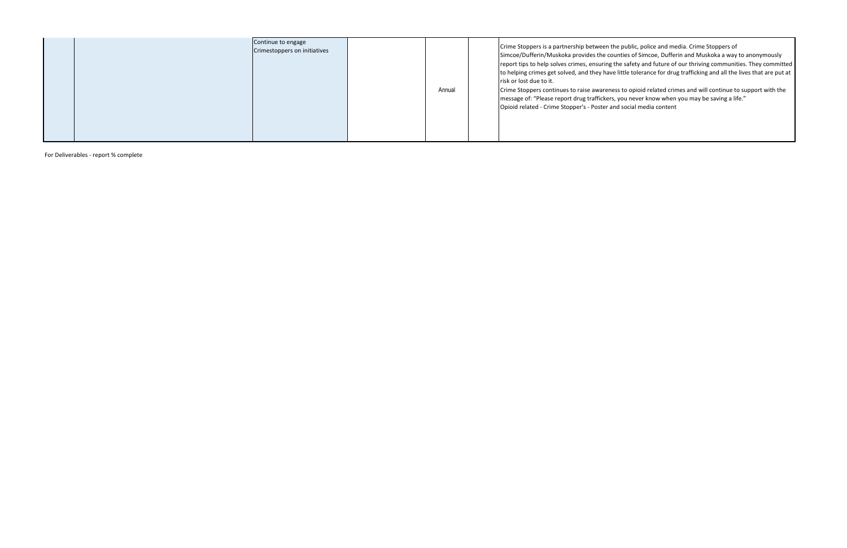|  |  | Continue to engage<br>Crimestoppers on initiatives |  | Annual |  | Crime Stoppers is a partnership between the<br>Simcoe/Dufferin/Muskoka provides the count<br>report tips to help solves crimes, ensuring the<br>to helping crimes get solved, and they have lit<br>risk or lost due to it.<br>Crime Stoppers continues to raise awareness<br>message of: "Please report drug traffickers, you<br>Opioid related - Crime Stopper's - Poster and |
|--|--|----------------------------------------------------|--|--------|--|--------------------------------------------------------------------------------------------------------------------------------------------------------------------------------------------------------------------------------------------------------------------------------------------------------------------------------------------------------------------------------|
|--|--|----------------------------------------------------|--|--------|--|--------------------------------------------------------------------------------------------------------------------------------------------------------------------------------------------------------------------------------------------------------------------------------------------------------------------------------------------------------------------------------|

For Deliverables - report % complete

public, police and media. Crime Stoppers of ties of Simcoe, Dufferin and Muskoka a way to anonymously e safety and future of our thriving communities. They committed ittle tolerance for drug trafficking and all the lives that are put at

s to opioid related crimes and will continue to support with the you never know when you may be saving a life." social media content